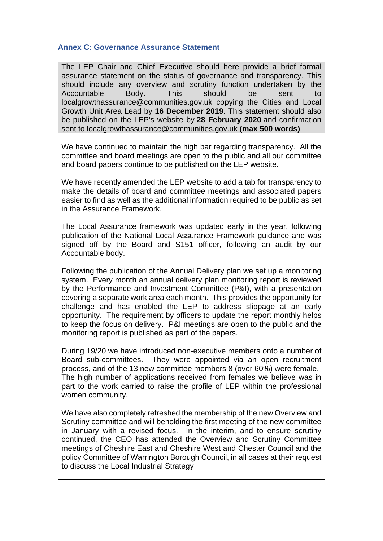## **Annex C: Governance Assurance Statement**

The LEP Chair and Chief Executive should here provide a brief formal assurance statement on the status of governance and transparency. This should include any overview and scrutiny function undertaken by the Accountable Body. This should be sent to localgrowthassurance@communities.gov.uk copying the Cities and Local Growth Unit Area Lead by **16 December 2019**. This statement should also be published on the LEP's website by **28 February 2020** and confirmation sent to localgrowthassurance@communities.gov.uk **(max 500 words)**

We have continued to maintain the high bar regarding transparency. All the committee and board meetings are open to the public and all our committee and board papers continue to be published on the LEP website.

We have recently amended the LEP website to add a tab for transparency to make the details of board and committee meetings and associated papers easier to find as well as the additional information required to be public as set in the Assurance Framework.

The Local Assurance framework was updated early in the year, following publication of the National Local Assurance Framework guidance and was signed off by the Board and S151 officer, following an audit by our Accountable body.

Following the publication of the Annual Delivery plan we set up a monitoring system. Every month an annual delivery plan monitoring report is reviewed by the Performance and Investment Committee (P&I), with a presentation covering a separate work area each month. This provides the opportunity for challenge and has enabled the LEP to address slippage at an early opportunity. The requirement by officers to update the report monthly helps to keep the focus on delivery. P&I meetings are open to the public and the monitoring report is published as part of the papers.

During 19/20 we have introduced non-executive members onto a number of Board sub-committees. They were appointed via an open recruitment process, and of the 13 new committee members 8 (over 60%) were female. The high number of applications received from females we believe was in part to the work carried to raise the profile of LEP within the professional women community.

We have also completely refreshed the membership of the new Overview and Scrutiny committee and will beholding the first meeting of the new committee in January with a revised focus. In the interim, and to ensure scrutiny continued, the CEO has attended the Overview and Scrutiny Committee meetings of Cheshire East and Cheshire West and Chester Council and the policy Committee of Warrington Borough Council, in all cases at their request to discuss the Local Industrial Strategy